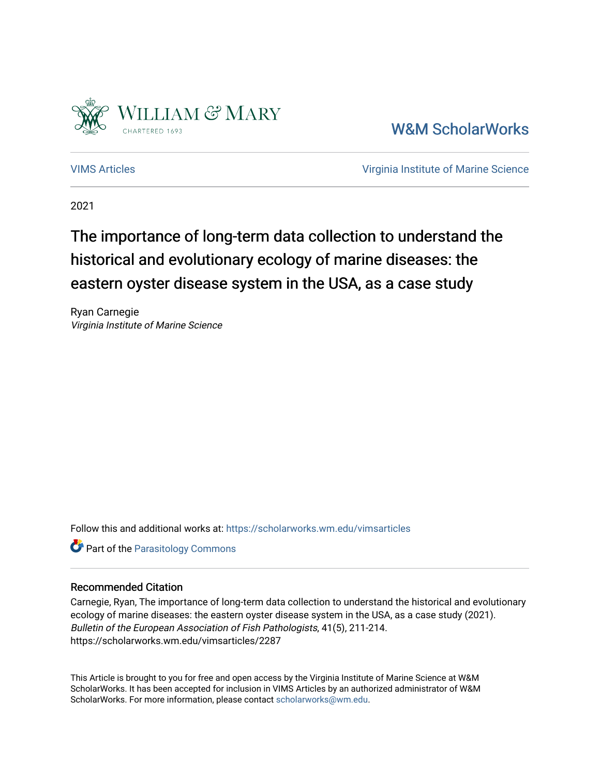

[W&M ScholarWorks](https://scholarworks.wm.edu/) 

[VIMS Articles](https://scholarworks.wm.edu/vimsarticles) [Virginia Institute of Marine Science](https://scholarworks.wm.edu/vims) 

2021

# The importance of long-term data collection to understand the historical and evolutionary ecology of marine diseases: the eastern oyster disease system in the USA, as a case study

Ryan Carnegie Virginia Institute of Marine Science

Follow this and additional works at: [https://scholarworks.wm.edu/vimsarticles](https://scholarworks.wm.edu/vimsarticles?utm_source=scholarworks.wm.edu%2Fvimsarticles%2F2287&utm_medium=PDF&utm_campaign=PDFCoverPages)

**Part of the [Parasitology Commons](http://network.bepress.com/hgg/discipline/39?utm_source=scholarworks.wm.edu%2Fvimsarticles%2F2287&utm_medium=PDF&utm_campaign=PDFCoverPages)** 

### Recommended Citation

Carnegie, Ryan, The importance of long-term data collection to understand the historical and evolutionary ecology of marine diseases: the eastern oyster disease system in the USA, as a case study (2021). Bulletin of the European Association of Fish Pathologists, 41(5), 211-214. https://scholarworks.wm.edu/vimsarticles/2287

This Article is brought to you for free and open access by the Virginia Institute of Marine Science at W&M ScholarWorks. It has been accepted for inclusion in VIMS Articles by an authorized administrator of W&M ScholarWorks. For more information, please contact [scholarworks@wm.edu.](mailto:scholarworks@wm.edu)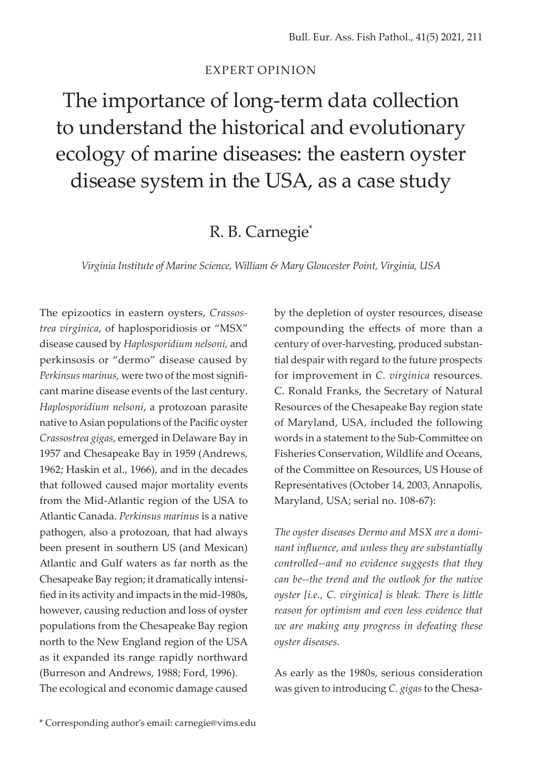#### EXPERT OPINION

The importance of long-term data collection to understand the historical and evolutionary ecology of marine diseases: the eastern oyster disease system in the USA, as a case study

## R. B. Carnegie\*

*Virginia Institute of Marine Science, William & Mary Gloucester Point, Virginia, USA*

The epizootics in eastern oysters, *Crassostrea virginica*, of haplosporidiosis or "MSX" disease caused by *Haplosporidium nelsoni,* and perkinsosis or "dermo" disease caused by *Perkinsus marinus,* were two of the most significant marine disease events of the last century. *Haplosporidium nelsoni*, a protozoan parasite native to Asian populations of the Pacific oyster *Crassostrea gigas*, emerged in Delaware Bay in 1957 and Chesapeake Bay in 1959 (Andrews, 1962; Haskin et al., 1966), and in the decades that followed caused major mortality events from the Mid-Atlantic region of the USA to Atlantic Canada. *Perkinsus marinus* is a native pathogen, also a protozoan, that had always been present in southern US (and Mexican) Atlantic and Gulf waters as far north as the Chesapeake Bay region; it dramatically intensified in its activity and impacts in the mid-1980s, however, causing reduction and loss of oyster populations from the Chesapeake Bay region north to the New England region of the USA as it expanded its range rapidly northward (Burreson and Andrews, 1988; Ford, 1996). The ecological and economic damage caused by the depletion of oyster resources, disease compounding the effects of more than a century of over-harvesting, produced substantial despair with regard to the future prospects for improvement in *C. virginica* resources. C. Ronald Franks, the Secretary of Natural Resources of the Chesapeake Bay region state of Maryland, USA, included the following words in a statement to the Sub-Committee on Fisheries Conservation, Wildlife and Oceans, of the Committee on Resources, US House of Representatives (October 14, 2003, Annapolis, Maryland, USA; serial no. 108-67):

*The oyster diseases Dermo and MSX are a dominant influence, and unless they are substantially controlled--and no evidence suggests that they can be--the trend and the outlook for the native oyster [i.e., C. virginica] is bleak. There is little reason for optimism and even less evidence that we are making any progress in defeating these oyster diseases.*

As early as the 1980s, serious consideration was given to introducing *C. gigas* to the Chesa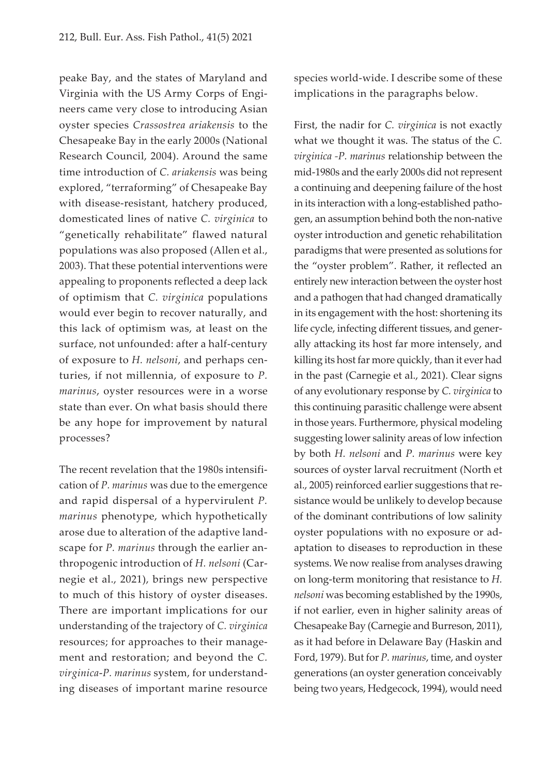peake Bay, and the states of Maryland and Virginia with the US Army Corps of Engineers came very close to introducing Asian oyster species *Crassostrea ariakensis* to the Chesapeake Bay in the early 2000s (National Research Council, 2004). Around the same time introduction of *C. ariakensis* was being explored, "terraforming" of Chesapeake Bay with disease-resistant, hatchery produced, domesticated lines of native *C. virginica* to "genetically rehabilitate" flawed natural populations was also proposed (Allen et al., 2003). That these potential interventions were appealing to proponents reflected a deep lack of optimism that *C. virginica* populations would ever begin to recover naturally, and this lack of optimism was, at least on the surface, not unfounded: after a half-century of exposure to *H. nelsoni*, and perhaps centuries, if not millennia, of exposure to *P. marinus*, oyster resources were in a worse state than ever. On what basis should there be any hope for improvement by natural processes?

The recent revelation that the 1980s intensification of *P. marinus* was due to the emergence and rapid dispersal of a hypervirulent *P. marinus* phenotype, which hypothetically arose due to alteration of the adaptive landscape for *P. marinus* through the earlier anthropogenic introduction of *H. nelsoni* (Carnegie et al., 2021), brings new perspective to much of this history of oyster diseases. There are important implications for our understanding of the trajectory of *C. virginica* resources; for approaches to their management and restoration; and beyond the *C. virginica*-*P. marinus* system, for understanding diseases of important marine resource

species world-wide. I describe some of these implications in the paragraphs below.

First, the nadir for *C. virginica* is not exactly what we thought it was. The status of the *C. virginica -P. marinus* relationship between the mid-1980s and the early 2000s did not represent a continuing and deepening failure of the host in its interaction with a long-established pathogen, an assumption behind both the non-native oyster introduction and genetic rehabilitation paradigms that were presented as solutions for the "oyster problem". Rather, it reflected an entirely new interaction between the oyster host and a pathogen that had changed dramatically in its engagement with the host: shortening its life cycle, infecting different tissues, and generally attacking its host far more intensely, and killing its host far more quickly, than it ever had in the past (Carnegie et al., 2021). Clear signs of any evolutionary response by *C. virginica* to this continuing parasitic challenge were absent in those years. Furthermore, physical modeling suggesting lower salinity areas of low infection by both *H. nelsoni* and *P. marinus* were key sources of oyster larval recruitment (North et al., 2005) reinforced earlier suggestions that resistance would be unlikely to develop because of the dominant contributions of low salinity oyster populations with no exposure or adaptation to diseases to reproduction in these systems. We now realise from analyses drawing on long-term monitoring that resistance to *H. nelsoni* was becoming established by the 1990s, if not earlier, even in higher salinity areas of Chesapeake Bay (Carnegie and Burreson, 2011), as it had before in Delaware Bay (Haskin and Ford, 1979). But for *P. marinus*, time, and oyster generations (an oyster generation conceivably being two years, Hedgecock, 1994), would need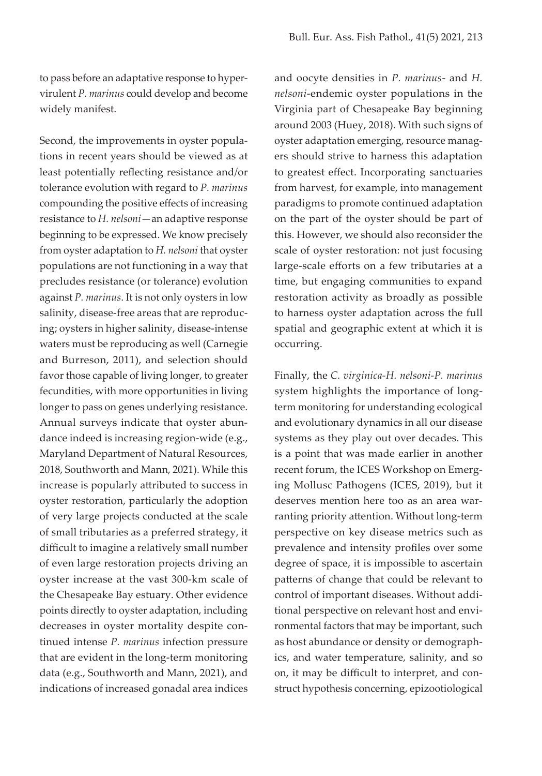to pass before an adaptative response to hypervirulent *P. marinus* could develop and become widely manifest.

Second, the improvements in oyster populations in recent years should be viewed as at least potentially reflecting resistance and/or tolerance evolution with regard to *P. marinus*  compounding the positive effects of increasing resistance to *H. nelsoni*—an adaptive response beginning to be expressed. We know precisely from oyster adaptation to *H. nelsoni* that oyster populations are not functioning in a way that precludes resistance (or tolerance) evolution against *P. marinus*. It is not only oysters in low salinity, disease-free areas that are reproducing; oysters in higher salinity, disease-intense waters must be reproducing as well (Carnegie and Burreson, 2011), and selection should favor those capable of living longer, to greater fecundities, with more opportunities in living longer to pass on genes underlying resistance. Annual surveys indicate that oyster abundance indeed is increasing region-wide (e.g., Maryland Department of Natural Resources, 2018, Southworth and Mann, 2021). While this increase is popularly attributed to success in oyster restoration, particularly the adoption of very large projects conducted at the scale of small tributaries as a preferred strategy, it difficult to imagine a relatively small number of even large restoration projects driving an oyster increase at the vast 300-km scale of the Chesapeake Bay estuary. Other evidence points directly to oyster adaptation, including decreases in oyster mortality despite continued intense *P. marinus* infection pressure that are evident in the long-term monitoring data (e.g., Southworth and Mann, 2021), and indications of increased gonadal area indices

and oocyte densities in *P. marinus*- and *H. nelsoni*-endemic oyster populations in the Virginia part of Chesapeake Bay beginning around 2003 (Huey, 2018). With such signs of oyster adaptation emerging, resource managers should strive to harness this adaptation to greatest effect. Incorporating sanctuaries from harvest, for example, into management paradigms to promote continued adaptation on the part of the oyster should be part of this. However, we should also reconsider the scale of oyster restoration: not just focusing large-scale efforts on a few tributaries at a time, but engaging communities to expand restoration activity as broadly as possible to harness oyster adaptation across the full spatial and geographic extent at which it is occurring.

Finally, the *C. virginica-H. nelsoni-P. marinus* system highlights the importance of longterm monitoring for understanding ecological and evolutionary dynamics in all our disease systems as they play out over decades. This is a point that was made earlier in another recent forum, the ICES Workshop on Emerging Mollusc Pathogens (ICES, 2019), but it deserves mention here too as an area warranting priority attention. Without long-term perspective on key disease metrics such as prevalence and intensity profiles over some degree of space, it is impossible to ascertain patterns of change that could be relevant to control of important diseases. Without additional perspective on relevant host and environmental factors that may be important, such as host abundance or density or demographics, and water temperature, salinity, and so on, it may be difficult to interpret, and construct hypothesis concerning, epizootiological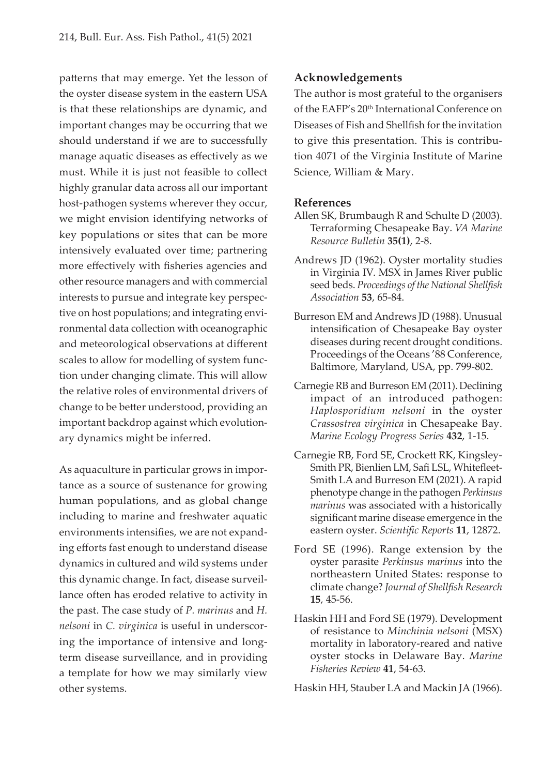patterns that may emerge. Yet the lesson of the oyster disease system in the eastern USA is that these relationships are dynamic, and important changes may be occurring that we should understand if we are to successfully manage aquatic diseases as effectively as we must. While it is just not feasible to collect highly granular data across all our important host-pathogen systems wherever they occur, we might envision identifying networks of key populations or sites that can be more intensively evaluated over time; partnering more effectively with fisheries agencies and other resource managers and with commercial interests to pursue and integrate key perspective on host populations; and integrating environmental data collection with oceanographic and meteorological observations at different scales to allow for modelling of system function under changing climate. This will allow the relative roles of environmental drivers of change to be better understood, providing an important backdrop against which evolutionary dynamics might be inferred.

As aquaculture in particular grows in importance as a source of sustenance for growing human populations, and as global change including to marine and freshwater aquatic environments intensifies, we are not expanding efforts fast enough to understand disease dynamics in cultured and wild systems under this dynamic change. In fact, disease surveillance often has eroded relative to activity in the past. The case study of *P. marinus* and *H. nelsoni* in *C. virginica* is useful in underscoring the importance of intensive and longterm disease surveillance, and in providing a template for how we may similarly view other systems.

#### **Acknowledgements**

The author is most grateful to the organisers of the EAFP's 20<sup>th</sup> International Conference on Diseases of Fish and Shellfish for the invitation to give this presentation. This is contribution 4071 of the Virginia Institute of Marine Science, William & Mary.

#### **References**

- Allen SK, Brumbaugh R and Schulte D (2003). Terraforming Chesapeake Bay. *VA Marine Resource Bulletin* **35(1)**, 2-8.
- Andrews JD (1962). Oyster mortality studies in Virginia IV. MSX in James River public seed beds. *Proceedings of the National Shellfish Association* **53**, 65-84.
- Burreson EM and Andrews JD (1988). Unusual intensification of Chesapeake Bay oyster diseases during recent drought conditions. Proceedings of the Oceans '88 Conference, Baltimore, Maryland, USA, pp. 799-802.
- Carnegie RB and Burreson EM (2011). Declining impact of an introduced pathogen: *Haplosporidium nelsoni* in the oyster *Crassostrea virginica* in Chesapeake Bay. *Marine Ecology Progress Series* **432**, 1-15.
- Carnegie RB, Ford SE, Crockett RK, Kingsley-Smith PR, Bienlien LM, Safi LSL, Whitefleet-Smith LA and Burreson EM (2021). A rapid phenotype change in the pathogen *Perkinsus marinus* was associated with a historically significant marine disease emergence in the eastern oyster. *Scientific Reports* **11**, 12872.
- Ford SE (1996). Range extension by the oyster parasite *Perkinsus marinus* into the northeastern United States: response to climate change? *Journal of Shellfish Research* **15**, 45-56.
- Haskin HH and Ford SE (1979). Development of resistance to *Minchinia nelsoni* (MSX) mortality in laboratory-reared and native oyster stocks in Delaware Bay. *Marine Fisheries Review* **41**, 54-63.

Haskin HH, Stauber LA and Mackin JA (1966).